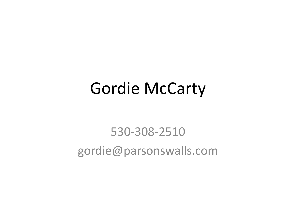### Gordie McCarty

#### 530-308-2510 gordie@parsonswalls.com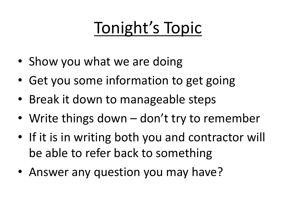# Tonight's Topic

- Show you what we are doing
- Get you some information to get going
- Break it down to manageable steps
- Write things down don't try to remember
- If it is in writing both you and contractor will be able to refer back to something
- Answer any question you may have?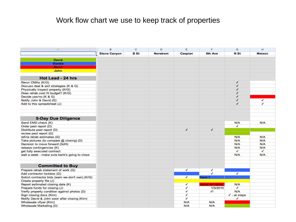#### Work flow chart we use to keep track of properties

| $\mathbb{A}$                                      | B                   | $\mathbf C$ | D               | E       | F                | G                       | H             |
|---------------------------------------------------|---------------------|-------------|-----------------|---------|------------------|-------------------------|---------------|
|                                                   | <b>Stone Canyon</b> | <b>B</b> St | <b>Norstrom</b> | Caspian | 6th Ave          | <b>N</b> St             | <b>Maison</b> |
| <b>David</b>                                      |                     |             |                 |         |                  |                         |               |
| <b>Gordie</b>                                     |                     |             |                 |         |                  |                         |               |
| <b>Kevin</b>                                      |                     |             |                 |         |                  |                         |               |
| John                                              |                     |             |                 |         |                  |                         |               |
|                                                   |                     |             |                 |         |                  |                         |               |
| Hot Lead - 24 hrs                                 |                     |             |                 |         |                  |                         |               |
| Rerun CMAs (K/G)                                  |                     |             |                 |         |                  | ✔                       |               |
| Discuss deal & exit strategies (K & G)            |                     |             |                 |         |                  | ✔                       |               |
| Physically inspect property (K/G)                 |                     |             |                 |         |                  | √                       |               |
| Does rehab cost fit budget? (K/G)                 |                     |             |                 |         |                  | √                       |               |
| Decide yes/no (K & G)                             |                     |             |                 |         |                  | ✔                       |               |
| Notify John & David (G)                           |                     |             |                 |         |                  | ✔                       | ✔             |
| Add to this spreadsheet (J)                       |                     |             |                 |         |                  | ✔                       | ✔             |
|                                                   |                     |             |                 |         |                  |                         |               |
| <b>5-Day Due Diligence</b>                        |                     |             |                 |         |                  |                         |               |
| Send EMD check (K)                                |                     |             |                 |         |                  | N/A                     | N/A           |
| Order pest report (D)                             |                     |             |                 |         |                  | ✔                       |               |
| Distribute pest report (D)                        |                     |             |                 | √       | ✔                |                         |               |
| review pest report (G)                            |                     |             |                 |         |                  |                         |               |
| refine rehab estimates (G)                        |                     |             |                 |         |                  | N/A                     | N/A           |
| Take pictures (to compare @ closing) (D)          |                     |             |                 |         |                  | <b>N/A</b>              | N/A           |
| Decision to move forward (3of4)                   |                     |             |                 |         |                  | <b>N/A</b>              | <b>N/A</b>    |
| release contingencies (K)                         |                     |             |                 |         |                  | N/A                     | N/A           |
| get fully executed contract                       |                     |             |                 |         |                  | ✔                       | ✔             |
|                                                   |                     |             |                 |         |                  | <b>N/A</b>              | N/A           |
| wait a week - make sure bank's going to close     |                     |             |                 |         |                  |                         |               |
| <b>Committed to Buy</b>                           |                     |             |                 |         |                  |                         |               |
| Prepare rehab statement of work (G)               |                     |             |                 | ✔       | ✔                |                         |               |
| Add contractor lockbox (G)                        |                     |             |                 |         | ✔                | ✔                       |               |
| Solicit contractor bids (warn we don't own) (K/G) |                     |             |                 | ✔       | have 1           |                         |               |
| Create property file (J)                          |                     |             |                 |         |                  |                         |               |
| Report estimated closing date (K)                 |                     |             |                 | ✔       | repair est delay | N/A                     |               |
| Prepare funds for closing (J)                     |                     |             |                 | ✔       | 1/5/2010         | ✔                       |               |
| Verify property condition against photos (D)      |                     |             |                 | ✔       | $\mathcal{L}$    | N/A                     |               |
| Sign closing docs (Kim)                           |                     |             |                 | √       |                  | $\checkmark$ - at steps |               |
| Notify David & John soon after closing (Kim)      |                     |             |                 | ✔       |                  | √                       |               |
| Wholesale vflyer (Kim)                            |                     |             |                 | N/A     | <b>N/A</b>       |                         |               |
| Wholesale Marketing (D)                           |                     |             |                 | N/A     | N/A              |                         |               |
|                                                   |                     |             |                 |         |                  |                         |               |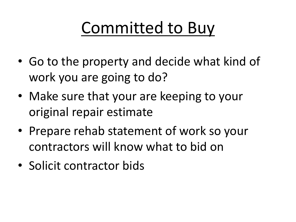# Committed to Buy

- Go to the property and decide what kind of work you are going to do?
- Make sure that your are keeping to your original repair estimate
- Prepare rehab statement of work so your contractors will know what to bid on
- Solicit contractor bids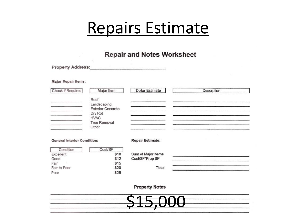### Repairs Estimate

#### **Repair and Notes Worksheet**

Property Address:

**Major Repair Items:** 

| Check if Required                  | Major Item                                                                                                | <b>Dollar Estimate</b>  | Descrption |
|------------------------------------|-----------------------------------------------------------------------------------------------------------|-------------------------|------------|
|                                    | Roof<br>Landscaping<br><b>Exterior Concrete</b><br>Dry Rot<br><b>HVAC</b><br><b>Tree Removal</b><br>Other |                         |            |
| <b>General Interior Condition:</b> |                                                                                                           | <b>Repair Estimate:</b> |            |
| Condition<br>Excellent             | Cost/SF<br>\$10                                                                                           | Sum of Major Items      |            |
| Good                               | \$12                                                                                                      | Cost/SF*Prop SF         |            |
| Fair<br>Fair to Poor               | \$15<br>\$20                                                                                              | Total                   |            |
| Poor                               | \$25                                                                                                      |                         |            |

**Property Notes** 

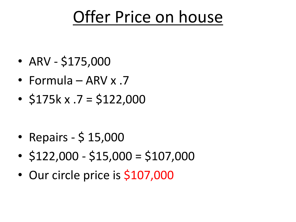## Offer Price on house

- ARV \$175,000
- Formula ARV x .7
- $\cdot$  \$175k x .7 = \$122,000

- Repairs \$ 15,000
- $\cdot$  \$122,000 \$15,000 = \$107,000
- Our circle price is \$107,000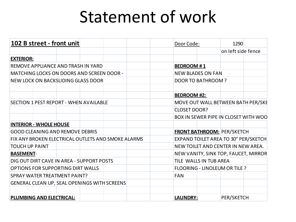## Statement of work

| 102 B street - front unit                          | Door Code:<br>1290                          |  |  |  |
|----------------------------------------------------|---------------------------------------------|--|--|--|
|                                                    | on left side fence                          |  |  |  |
| <b>EXTERIOR:</b>                                   |                                             |  |  |  |
| REMOVE APPLIANCE AND TRASH IN YARD                 | <b>BEDROOM #1</b>                           |  |  |  |
| <b>MATCHING LOCKS ON DOORS AND SCREEN DOOR -</b>   | <b>NEW BLADES ON FAN</b>                    |  |  |  |
| NEW LOCK ON BACKSLIDING GLASS DOOR                 | DOOR TO BATHROOM?                           |  |  |  |
|                                                    |                                             |  |  |  |
|                                                    | <b>BEDROOM #2:</b>                          |  |  |  |
| SECTION 1 PEST REPORT - WHEN AVAILABLE             | MOVE OUT WALL BETWEEN BATH PER/SKE          |  |  |  |
|                                                    | <b>CLOSET DOOR?</b>                         |  |  |  |
|                                                    | <b>BOX IN SEWER PIPE IN CLOSET WITH WOO</b> |  |  |  |
| <b>INTERIOR - WHOLE HOUSE</b>                      |                                             |  |  |  |
| <b>GOOD CLEANING AND REMOVE DEBRIS</b>             | <b>FRONT BATHROOM: PER/SKETCH</b>           |  |  |  |
| FIX ANY BROKEN ELECTRICAL OUTLETS AND SMOKE ALARMS | EXPAND TOILET AREA TO 30" PER/SKETCH        |  |  |  |
| <b>TOUCH UP PAINT</b>                              | NEW TOILET AND CENTER IN NEW AREA.          |  |  |  |
| <b>BASEMENT-</b>                                   | NEW VANITY, SINK TOP, FAUCET, MIRROR        |  |  |  |
| DIG OUT DIRT CAVE IN AREA - SUPPORT POSTS          | TILE WALLS IN TUB AREA                      |  |  |  |
| <b>OPTIONS FOR SUPPORTING DIRT WALLS</b>           | <b>FLOORING - LINOLEUM OR TILE ?</b>        |  |  |  |
| <b>SPRAY WATER TREATMENT PAINT?</b>                | <b>FAN</b>                                  |  |  |  |
| GENERAL CLEAN UP, SEAL OPENINGS WITH SCREENS       |                                             |  |  |  |
|                                                    |                                             |  |  |  |
| <b>PLUMBING AND ELECTRICAL:</b>                    | PER/SKETCH<br><b>LAUNDRY:</b>               |  |  |  |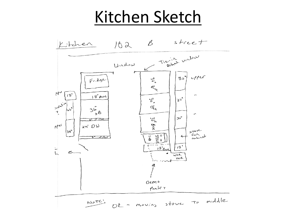### Kitchen Sketch

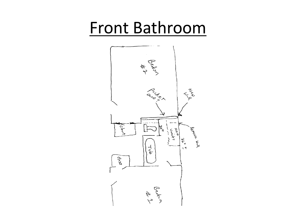## Front Bathroom

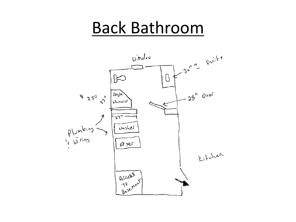### Back Bathroom

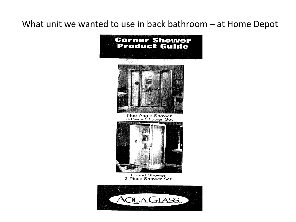#### What unit we wanted to use in back bathroom – at Home Depot

#### **Corner Shower Product Guide**



Neo-Angle Shower<br>3-Piece Shower Set



Round Shower 3-Piece Shower Set

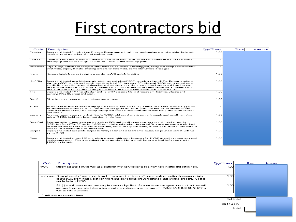### First contractors bid

| Code             | Description                                                                                                                                                                                                                                                                                                                                                                                                                                                                                                                               | Otv/Hours | Rate | Amount |
|------------------|-------------------------------------------------------------------------------------------------------------------------------------------------------------------------------------------------------------------------------------------------------------------------------------------------------------------------------------------------------------------------------------------------------------------------------------------------------------------------------------------------------------------------------------------|-----------|------|--------|
| Exterior         | Supply and install 1 lock kit on 2 doors, Dump runs with all trash and appliance on site, slider lock, ext<br>touch up paint and minor dryrot replacement.                                                                                                                                                                                                                                                                                                                                                                                | 1.00      |      |        |
| Interior         | Clean whole house, supply and install smoke detectors, repair all broken outlets (if not too excessive)<br>and supply and install 4-2 light domes $@$ c. fans. minor touch up paint                                                                                                                                                                                                                                                                                                                                                       | 1.00      |      |        |
| Basement         | Digout, dry, flatten and compact dirt under house, brace 1 missing joist, spray masonary primer/mildew<br>treatment, supply & install missing screens @ basement, demo old furnace & cap gas                                                                                                                                                                                                                                                                                                                                              | 1.00      |      |        |
| Front            | Remove brick & pergo in dining area, demo A/C unit & fix siding                                                                                                                                                                                                                                                                                                                                                                                                                                                                           | 1.00      |      |        |
| Kit / Din        | Supply and install new kitchen cabinets to agreed plan(\$1800), supply and install Tan Brown granite in<br>kitchen (\$500), supply and install new kit sink (\$150), faucet(\$150), disposal (\$150) with needed parts,<br>Install client supplied stove, dishwasher and ventless hood, demo pantry and supply and install a new<br>vented solid prehung door at water heater (\$200), supply and install a new skinny water heater (\$400)<br>and pr.sh.device (\$100) and move gas and water lines into new cabinet, add 2 new outlets. | 1.00      |      |        |
| Tile             | Supply and install 1/4" hardibacker and 16" x16" ceramic tile in dining room, kitchen, 2 baths and<br>llaundrv(\$1/sq ft), grout and caulk.                                                                                                                                                                                                                                                                                                                                                                                               | 1.00      |      |        |
| Bed 2            | Fill in bathroom door & box in closet sewer pipes                                                                                                                                                                                                                                                                                                                                                                                                                                                                                         | 1.00      |      |        |
| Fr Bath          | Move toilet to new location & supply and install a new one (\$100), demo old shower walls & supply and<br>install hardibacker and 12" x 12" tiles above tub, grout and caulk, paint old tub, install shelves in old<br>toilet hole (linen closet) & at vanity, supply and install a new medicine cabinet (\$50) and move tub wall<br>end back 3".                                                                                                                                                                                         | 1.00      |      |        |
| Laundry          | Add new water supply and drain line to W&D, add outlet and dryer vent, supply and install new attic<br>ladder (\$135), build new basement door in tile floor                                                                                                                                                                                                                                                                                                                                                                              | 1.00      |      |        |
| <b>Back Bath</b> | Relocate toilet to new location & supply (\$100) and install a new one, supply and install a new light<br>(\$35), fart fan (\$75), 30" vanity (\$200) with piping relocation , faucet (\$25), a new neo angle prefabbed<br>shower enclosure (\$400) as well as relocating water supply and adding a new drain, build 2 new walls to<br>enclose bathroom with a 28" door(\$50).                                                                                                                                                            | 1.00      |      |        |
| Carpet           | Supply and install midgrade carpet to family room and 2 bedrooms leaving pergo under carpet-will nail<br>down (N/C).                                                                                                                                                                                                                                                                                                                                                                                                                      | 1.00      |      |        |
| Panel            | Supply and install a new 125 amp electric panel with extra breakers for HVAC as well as a new subpanel<br>to a/c compressor. This is an estimate from my electrician and will be sure priced before contract -<br>\$1000 not included                                                                                                                                                                                                                                                                                                     | 1.00      |      |        |

| Code                         | Description                                                                                                                                                                                                                                     | Otv/Hours | Rate | Amount |
|------------------------------|-------------------------------------------------------------------------------------------------------------------------------------------------------------------------------------------------------------------------------------------------|-----------|------|--------|
| <b>HVAC</b>                  | Supply gas and 110v as well as a platform with service lights to a new hole in attic and patch hole.                                                                                                                                            | 1.00      |      |        |
|                              | Landscape  Clear all weeds from property and mow grass, trim trees off house, redirect gutter downspouts into<br>drains away from house, test sprinklers and plant some drout resistant plants around property. Cost is<br>not included -\$1200 | 1.00      |      |        |
|                              | [All ( ) are allowances and are only increasable by client. As soon as we can agree on a contract, we will<br>get over there and start drying basement and redirecting gutter run off (RAIN STARTING SUNDAY) as $ $<br>well as rest of project. | .00       |      |        |
| * Indicates non-taxable item |                                                                                                                                                                                                                                                 |           |      |        |
| Subtotal                     |                                                                                                                                                                                                                                                 |           |      |        |

Tax (7.25%)

Total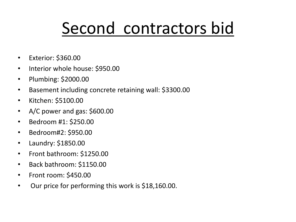# Second contractors bid

- Exterior: \$360.00
- Interior whole house: \$950.00
- Plumbing: \$2000.00
- Basement including concrete retaining wall: \$3300.00
- Kitchen: \$5100.00
- A/C power and gas: \$600.00
- Bedroom #1: \$250.00
- Bedroom#2: \$950.00
- Laundry: \$1850.00
- Front bathroom: \$1250.00
- Back bathroom: \$1150.00
- Front room: \$450.00
- Our price for performing this work is \$18,160.00.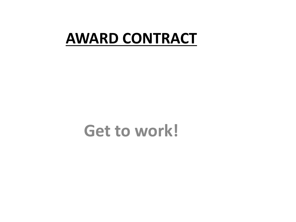#### **AWARD CONTRACT**

#### **Get to work!**